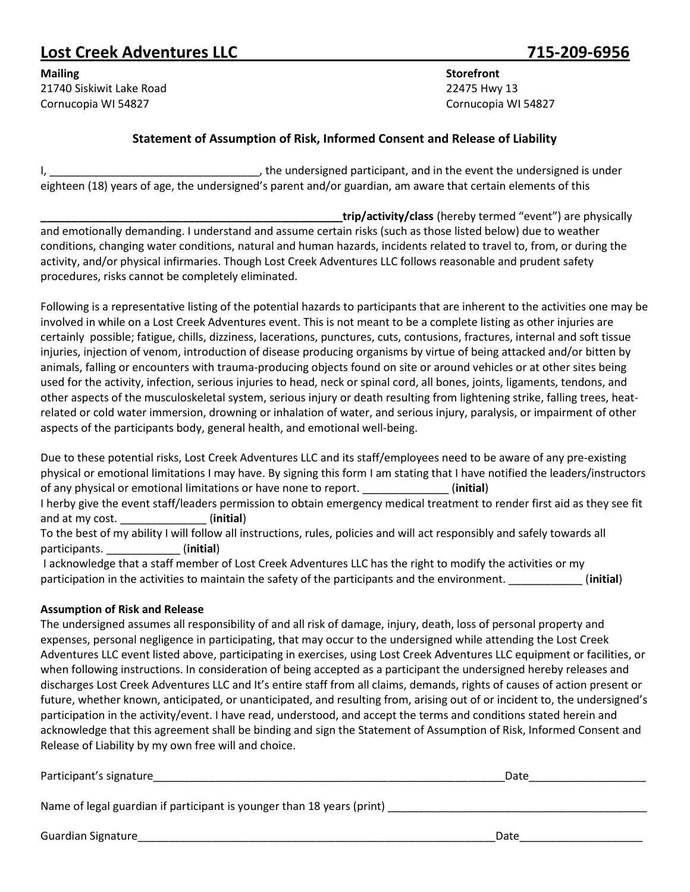## **Lost Creek Adventures LLC 715-209-6956**

**Mailing Storefront** 21740 Siskiwit Lake Road 22475 Hwy 13 Cornucopia WI 54827 Cornucopia WI 54827

## **Statement of Assumption of Risk, Informed Consent and Release of Liability**

I, the undersigned participant, and in the event the undersigned is under eighteen (18) years of age, the undersigned's parent and/or guardian, am aware that certain elements of this

**\_\_\_\_\_\_\_\_\_\_\_\_\_\_\_\_\_\_\_\_\_\_\_\_\_\_\_\_\_\_\_\_\_\_\_\_\_\_\_\_\_\_\_\_\_\_\_\_\_trip/activity/class** (hereby termed "event") are physically and emotionally demanding. I understand and assume certain risks (such as those listed below) due to weather conditions, changing water conditions, natural and human hazards, incidents related to travel to, from, or during the activity, and/or physical infirmaries. Though Lost Creek Adventures LLC follows reasonable and prudent safety procedures, risks cannot be completely eliminated.

Following is a representative listing of the potential hazards to participants that are inherent to the activities one may be involved in while on a Lost Creek Adventures event. This is not meant to be a complete listing as other injuries are certainly possible; fatigue, chills, dizziness, lacerations, punctures, cuts, contusions, fractures, internal and soft tissue injuries, injection of venom, introduction of disease producing organisms by virtue of being attacked and/or bitten by animals, falling or encounters with trauma-producing objects found on site or around vehicles or at other sites being used for the activity, infection, serious injuries to head, neck or spinal cord, all bones, joints, ligaments, tendons, and other aspects of the musculoskeletal system, serious injury or death resulting from lightening strike, falling trees, heatrelated or cold water immersion, drowning or inhalation of water, and serious injury, paralysis, or impairment of other aspects of the participants body, general health, and emotional well-being.

Due to these potential risks, Lost Creek Adventures LLC and its staff/employees need to be aware of any pre-existing physical or emotional limitations I may have. By signing this form I am stating that I have notified the leaders/instructors of any physical or emotional limitations or have none to report. \_\_\_\_\_\_\_\_\_\_\_\_\_\_ (**initial**) I herby give the event staff/leaders permission to obtain emergency medical treatment to render first aid as they see fit and at my cost. \_\_\_\_\_\_\_\_\_\_\_\_\_\_ (**initial**) To the best of my ability I will follow all instructions, rules, policies and will act responsibly and safely towards all participants. \_\_\_\_\_\_\_\_\_\_\_\_ (**initial**)

I acknowledge that a staff member of Lost Creek Adventures LLC has the right to modify the activities or my participation in the activities to maintain the safety of the participants and the environment. \_\_\_\_\_\_\_\_\_\_\_\_ (**initial**)

## **Assumption of Risk and Release**

The undersigned assumes all responsibility of and all risk of damage, injury, death, loss of personal property and expenses, personal negligence in participating, that may occur to the undersigned while attending the Lost Creek Adventures LLC event listed above, participating in exercises, using Lost Creek Adventures LLC equipment or facilities, or when following instructions. In consideration of being accepted as a participant the undersigned hereby releases and discharges Lost Creek Adventures LLC and It's entire staff from all claims, demands, rights of causes of action present or future, whether known, anticipated, or unanticipated, and resulting from, arising out of or incident to, the undersigned's participation in the activity/event. I have read, understood, and accept the terms and conditions stated herein and acknowledge that this agreement shall be binding and sign the Statement of Assumption of Risk, Informed Consent and Release of Liability by my own free will and choice.

| Participant's signature                                                | Date |
|------------------------------------------------------------------------|------|
| Name of legal guardian if participant is younger than 18 years (print) |      |
|                                                                        |      |

Guardian Signature\_\_\_\_\_\_\_\_\_\_\_\_\_\_\_\_\_\_\_\_\_\_\_\_\_\_\_\_\_\_\_\_\_\_\_\_\_\_\_\_\_\_\_\_\_\_\_\_\_\_\_\_\_\_\_\_\_\_Date\_\_\_\_\_\_\_\_\_\_\_\_\_\_\_\_\_\_\_\_